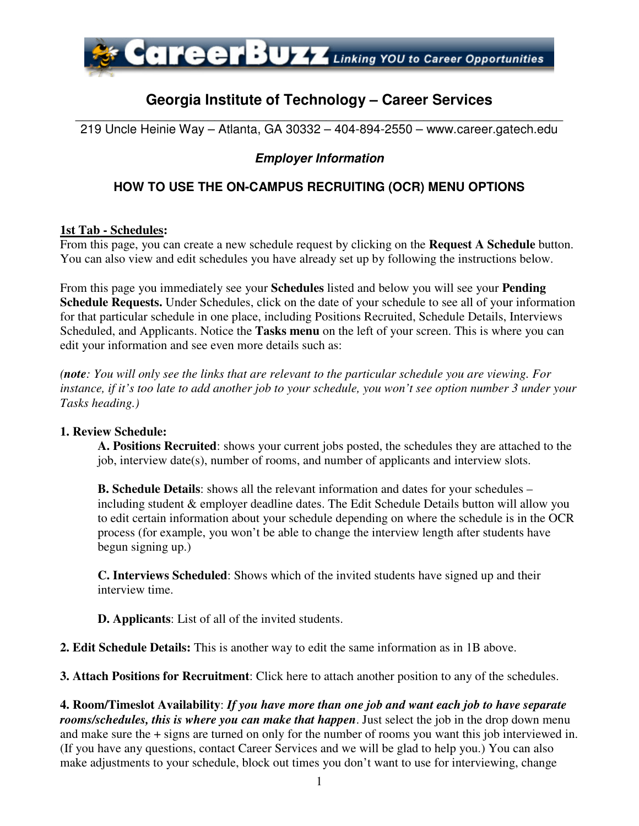

# **Georgia Institute of Technology – Career Services**

\_\_\_\_\_\_\_\_\_\_\_\_\_\_\_\_\_\_\_\_\_\_\_\_\_\_\_\_\_\_\_\_\_\_\_\_\_\_\_\_\_\_\_\_\_\_\_\_\_\_\_\_\_\_\_\_\_\_\_\_\_\_\_\_\_\_\_\_\_\_ 219 Uncle Heinie Way – Atlanta, GA 30332 – 404-894-2550 – www.career.gatech.edu

## **Employer Information**

## **HOW TO USE THE ON-CAMPUS RECRUITING (OCR) MENU OPTIONS**

#### **1st Tab - Schedules:**

From this page, you can create a new schedule request by clicking on the **Request A Schedule** button. You can also view and edit schedules you have already set up by following the instructions below.

From this page you immediately see your **Schedules** listed and below you will see your **Pending Schedule Requests.** Under Schedules, click on the date of your schedule to see all of your information for that particular schedule in one place, including Positions Recruited, Schedule Details, Interviews Scheduled, and Applicants. Notice the **Tasks menu** on the left of your screen. This is where you can edit your information and see even more details such as:

*(note: You will only see the links that are relevant to the particular schedule you are viewing. For instance, if it's too late to add another job to your schedule, you won't see option number 3 under your Tasks heading.)*

#### **1. Review Schedule:**

 **A. Positions Recruited**: shows your current jobs posted, the schedules they are attached to the job, interview date(s), number of rooms, and number of applicants and interview slots.

**B. Schedule Details**: shows all the relevant information and dates for your schedules – including student & employer deadline dates. The Edit Schedule Details button will allow you to edit certain information about your schedule depending on where the schedule is in the OCR process (for example, you won't be able to change the interview length after students have begun signing up.)

 **C. Interviews Scheduled**: Shows which of the invited students have signed up and their interview time.

 **D. Applicants**: List of all of the invited students.

**2. Edit Schedule Details:** This is another way to edit the same information as in 1B above.

**3. Attach Positions for Recruitment**: Click here to attach another position to any of the schedules.

**4. Room/Timeslot Availability**: *If you have more than one job and want each job to have separate rooms/schedules, this is where you can make that happen*. Just select the job in the drop down menu and make sure the + signs are turned on only for the number of rooms you want this job interviewed in. (If you have any questions, contact Career Services and we will be glad to help you.) You can also make adjustments to your schedule, block out times you don't want to use for interviewing, change